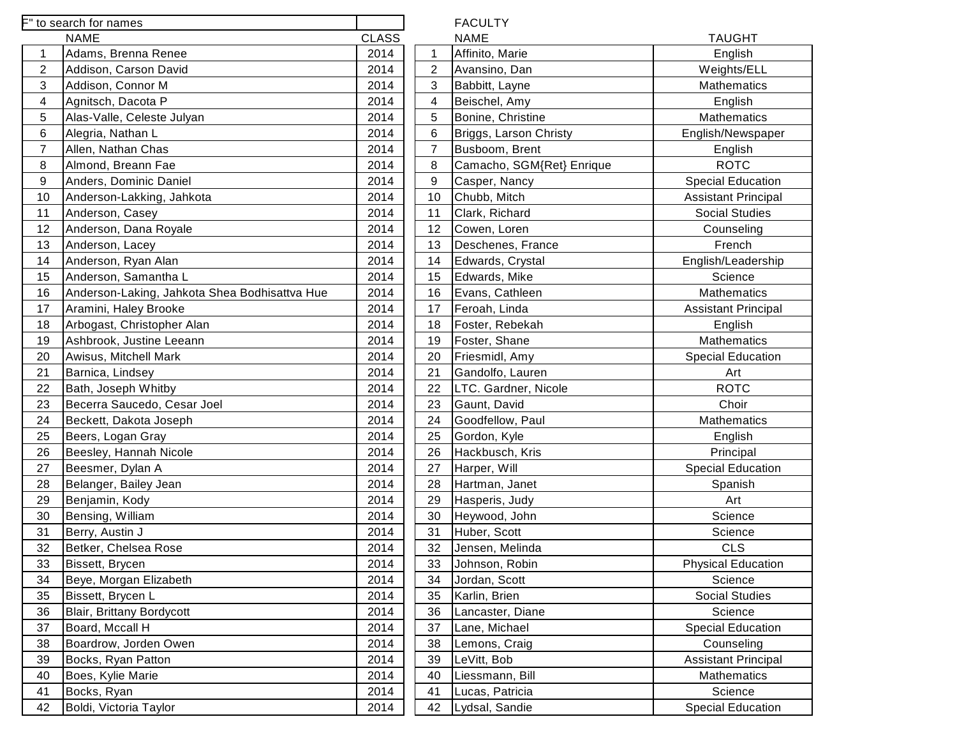|                | to search for names                           |              |                | <b>FACULTY</b>            |                            |
|----------------|-----------------------------------------------|--------------|----------------|---------------------------|----------------------------|
|                | <b>NAME</b>                                   | <b>CLASS</b> |                | <b>NAME</b>               | <b>TAUGHT</b>              |
|                | Adams, Brenna Renee                           | 2014         |                | Affinito, Marie           | English                    |
| $\overline{c}$ | Addison, Carson David                         | 2014         | $\overline{2}$ | Avansino, Dan             | Weights/ELL                |
| 3              | Addison, Connor M                             | 2014         | 3              | Babbitt, Layne            | Mathematics                |
| $\overline{4}$ | Agnitsch, Dacota P                            | 2014         | 4              | Beischel, Amy             | English                    |
| 5              | Alas-Valle, Celeste Julyan                    | 2014         | 5              | Bonine, Christine         | Mathematics                |
| 6              | Alegria, Nathan L                             | 2014         | 6              | Briggs, Larson Christy    | English/Newspaper          |
| $\overline{7}$ | Allen, Nathan Chas                            | 2014         | $\overline{7}$ | Busboom, Brent            | English                    |
| 8              | Almond, Breann Fae                            | 2014         | 8              | Camacho, SGM{Ret} Enrique | <b>ROTC</b>                |
| 9              | Anders, Dominic Daniel                        | 2014         | 9              | Casper, Nancy             | <b>Special Education</b>   |
| 10             | Anderson-Lakking, Jahkota                     | 2014         | 10             | Chubb, Mitch              | <b>Assistant Principal</b> |
| 11             | Anderson, Casey                               | 2014         | 11             | Clark, Richard            | <b>Social Studies</b>      |
| 12             | Anderson, Dana Royale                         | 2014         | 12             | Cowen, Loren              | Counseling                 |
| 13             | Anderson, Lacey                               | 2014         | 13             | Deschenes, France         | French                     |
| 14             | Anderson, Ryan Alan                           | 2014         | 14             | Edwards, Crystal          | English/Leadership         |
| 15             | Anderson, Samantha L                          | 2014         | 15             | Edwards, Mike             | Science                    |
| 16             | Anderson-Laking, Jahkota Shea Bodhisattva Hue | 2014         | 16             | Evans, Cathleen           | Mathematics                |
| 17             | Aramini, Haley Brooke                         | 2014         | 17             | Feroah, Linda             | <b>Assistant Principal</b> |
| 18             | Arbogast, Christopher Alan                    | 2014         | 18             | Foster, Rebekah           | English                    |
| 19             | Ashbrook, Justine Leeann                      | 2014         | 19             | Foster, Shane             | <b>Mathematics</b>         |
| 20             | Awisus, Mitchell Mark                         | 2014         | 20             | Friesmidl, Amy            | <b>Special Education</b>   |
| 21             | Barnica, Lindsey                              | 2014         | 21             | Gandolfo, Lauren          | Art                        |
| 22             | Bath, Joseph Whitby                           | 2014         | 22             | LTC. Gardner, Nicole      | <b>ROTC</b>                |
| 23             | Becerra Saucedo, Cesar Joel                   | 2014         | 23             | Gaunt, David              | Choir                      |
| 24             | Beckett, Dakota Joseph                        | 2014         | 24             | Goodfellow, Paul          | Mathematics                |
| 25             | Beers, Logan Gray                             | 2014         | 25             | Gordon, Kyle              | English                    |
| 26             | Beesley, Hannah Nicole                        | 2014         | 26             | Hackbusch, Kris           | Principal                  |
| 27             | Beesmer, Dylan A                              | 2014         | 27             | Harper, Will              | <b>Special Education</b>   |
| 28             | Belanger, Bailey Jean                         | 2014         | 28             | Hartman, Janet            | Spanish                    |
| 29             | Benjamin, Kody                                | 2014         | 29             | Hasperis, Judy            | Art                        |
| 30             | Bensing, William                              | 2014         | 30             | Heywood, John             | Science                    |
| 31             | Berry, Austin J                               | 2014         | 31             | Huber, Scott              | Science                    |
| 32             | Betker, Chelsea Rose                          | 2014         | 32             | Jensen, Melinda           | <b>CLS</b>                 |
| 33             | Bissett, Brycen                               | 2014         | 33             | Johnson, Robin            | <b>Physical Education</b>  |
| 34             | Beye, Morgan Elizabeth                        | 2014         | 34             | Jordan, Scott             | Science                    |
| 35             | Bissett, Brycen L                             | 2014         | 35             | Karlin, Brien             | <b>Social Studies</b>      |
| 36             | Blair, Brittany Bordycott                     | 2014         | 36             | Lancaster, Diane          | Science                    |
| 37             | Board, Mccall H                               | 2014         | 37             | Lane, Michael             | <b>Special Education</b>   |
| 38             | Boardrow, Jorden Owen                         | 2014         | 38             | Lemons, Craig             | Counseling                 |
| 39             | Bocks, Ryan Patton                            | 2014         | 39             | LeVitt, Bob               | <b>Assistant Principal</b> |
| 40             | Boes, Kylie Marie                             | 2014         | 40             | Liessmann, Bill           | Mathematics                |
| 41             | Bocks, Ryan                                   | 2014         | 41             | Lucas, Patricia           | Science                    |
| 42             | Boldi, Victoria Taylor                        | 2014         | 42             | Lydsal, Sandie            | <b>Special Education</b>   |
|                |                                               |              |                |                           |                            |

|                | <b>NAME</b>               | <b>TAUGHT</b>              |
|----------------|---------------------------|----------------------------|
| $\mathbf 1$    | Affinito, Marie           | English                    |
| $\overline{2}$ | Avansino, Dan             | Weights/ELL                |
| 3              | Babbitt, Layne            | Mathematics                |
| 4              | Beischel, Amy             | English                    |
| 5              | Bonine, Christine         | <b>Mathematics</b>         |
| 6              | Briggs, Larson Christy    | English/Newspaper          |
| 7              | Busboom, Brent            | English                    |
| 8              | Camacho, SGM{Ret} Enrique | <b>ROTC</b>                |
| 9              | Casper, Nancy             | <b>Special Education</b>   |
| 10             | Chubb, Mitch              | <b>Assistant Principal</b> |
| 11             | Clark, Richard            | <b>Social Studies</b>      |
| 12             | Cowen, Loren              | Counseling                 |
| 13             | Deschenes, France         | French                     |
| 14             | Edwards, Crystal          | English/Leadership         |
| 15             | Edwards, Mike             | Science                    |
| 16             | Evans, Cathleen           | <b>Mathematics</b>         |
| 17             | Feroah, Linda             | <b>Assistant Principal</b> |
| 18             | Foster, Rebekah           | English                    |
| 19             | Foster, Shane             | Mathematics                |
| 20             | Friesmidl, Amy            | <b>Special Education</b>   |
| 21             | Gandolfo, Lauren          | Art                        |
| 22             | LTC. Gardner, Nicole      | <b>ROTC</b>                |
| 23             | Gaunt, David              | Choir                      |
| 24             | Goodfellow, Paul          | Mathematics                |
| 25             | Gordon, Kyle              | English                    |
| 26             | Hackbusch, Kris           | Principal                  |
| 27             | Harper, Will              | <b>Special Education</b>   |
| 28             | Hartman, Janet            | Spanish                    |
| 29             | Hasperis, Judy            | Art                        |
| 30             | Heywood, John             | Science                    |
| 31             | Huber, Scott              | Science                    |
| 32             | Jensen, Melinda           | CLS                        |
| 33             | Johnson, Robin            | <b>Physical Education</b>  |
| 34             | Jordan, Scott             | Science                    |
| 35             | Karlin, Brien             | <b>Social Studies</b>      |
| 36             | Lancaster, Diane          | Science                    |
| 37             | Lane, Michael             | <b>Special Education</b>   |
| 38             | Lemons, Craig             | Counseling                 |
| 39             | LeVitt, Bob               | <b>Assistant Principal</b> |
| 40             | Liessmann, Bill           | Mathematics                |
| 41             | Lucas, Patricia           | Science                    |
| 42             | Lydsal, Sandie            | <b>Special Education</b>   |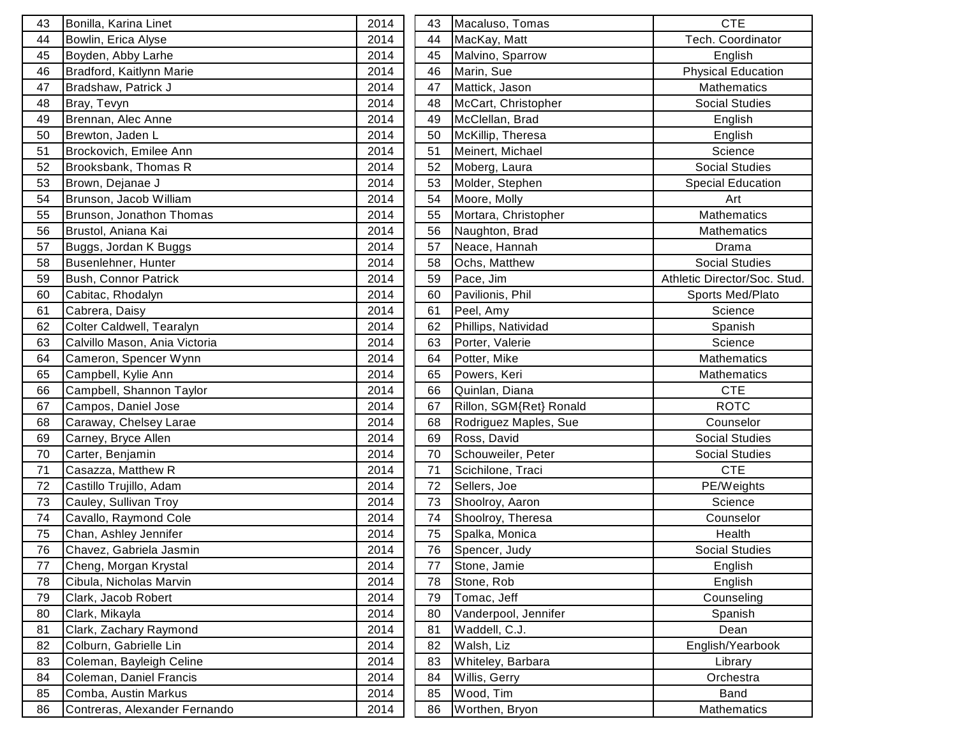| 43 | Bonilla, Karina Linet         | 2014 | 43 | Macaluso, Tomas         | <b>CTE</b>                   |
|----|-------------------------------|------|----|-------------------------|------------------------------|
| 44 | Bowlin, Erica Alyse           | 2014 | 44 | MacKay, Matt            | Tech. Coordinator            |
| 45 | Boyden, Abby Larhe            | 2014 | 45 | Malvino, Sparrow        | English                      |
| 46 | Bradford, Kaitlynn Marie      | 2014 | 46 | Marin, Sue              | <b>Physical Education</b>    |
| 47 | Bradshaw, Patrick J           | 2014 | 47 | Mattick, Jason          | Mathematics                  |
| 48 | Bray, Tevyn                   | 2014 | 48 | McCart, Christopher     | <b>Social Studies</b>        |
| 49 | Brennan, Alec Anne            | 2014 | 49 | McClellan, Brad         | English                      |
| 50 | Brewton, Jaden L              | 2014 | 50 | McKillip, Theresa       | English                      |
| 51 | Brockovich, Emilee Ann        | 2014 | 51 | Meinert, Michael        | Science                      |
| 52 | Brooksbank, Thomas R          | 2014 | 52 | Moberg, Laura           | <b>Social Studies</b>        |
| 53 | Brown, Dejanae J              | 2014 | 53 | Molder, Stephen         | <b>Special Education</b>     |
| 54 | Brunson, Jacob William        | 2014 | 54 | Moore, Molly            | Art                          |
| 55 | Brunson, Jonathon Thomas      | 2014 | 55 | Mortara, Christopher    | <b>Mathematics</b>           |
| 56 | Brustol, Aniana Kai           | 2014 | 56 | Naughton, Brad          | Mathematics                  |
| 57 | Buggs, Jordan K Buggs         | 2014 | 57 | Neace, Hannah           | Drama                        |
| 58 | Busenlehner, Hunter           | 2014 | 58 | Ochs, Matthew           | <b>Social Studies</b>        |
| 59 | Bush, Connor Patrick          | 2014 | 59 | Pace, Jim               | Athletic Director/Soc. Stud. |
| 60 | Cabitac, Rhodalyn             | 2014 | 60 | Pavilionis, Phil        | Sports Med/Plato             |
| 61 | Cabrera, Daisy                | 2014 | 61 | Peel, Amy               | Science                      |
| 62 | Colter Caldwell, Tearalyn     | 2014 | 62 | Phillips, Natividad     | Spanish                      |
| 63 | Calvillo Mason, Ania Victoria | 2014 | 63 | Porter, Valerie         | Science                      |
| 64 | Cameron, Spencer Wynn         | 2014 | 64 | Potter, Mike            | <b>Mathematics</b>           |
| 65 | Campbell, Kylie Ann           | 2014 | 65 | Powers, Keri            | Mathematics                  |
| 66 | Campbell, Shannon Taylor      | 2014 | 66 | Quinlan, Diana          | <b>CTE</b>                   |
| 67 | Campos, Daniel Jose           | 2014 | 67 | Rillon, SGM{Ret} Ronald | <b>ROTC</b>                  |
| 68 | Caraway, Chelsey Larae        | 2014 | 68 | Rodriguez Maples, Sue   | Counselor                    |
| 69 | Carney, Bryce Allen           | 2014 | 69 | Ross, David             | Social Studies               |
| 70 | Carter, Benjamin              | 2014 | 70 | Schouweiler, Peter      | <b>Social Studies</b>        |
| 71 | Casazza, Matthew R            | 2014 | 71 | Scichilone, Traci       | <b>CTE</b>                   |
| 72 | Castillo Trujillo, Adam       | 2014 | 72 | Sellers, Joe            | PE/Weights                   |
| 73 | Cauley, Sullivan Troy         | 2014 | 73 | Shoolroy, Aaron         | Science                      |
| 74 | Cavallo, Raymond Cole         | 2014 | 74 | Shoolroy, Theresa       | Counselor                    |
| 75 | Chan, Ashley Jennifer         | 2014 | 75 | Spalka, Monica          | Health                       |
| 76 | Chavez, Gabriela Jasmin       | 2014 | 76 | Spencer, Judy           | <b>Social Studies</b>        |
| 77 | Cheng, Morgan Krystal         | 2014 | 77 | Stone, Jamie            | English                      |
| 78 | Cibula, Nicholas Marvin       | 2014 | 78 | Stone, Rob              | English                      |
| 79 | Clark, Jacob Robert           | 2014 | 79 | Tomac, Jeff             | Counseling                   |
| 80 | Clark, Mikayla                | 2014 | 80 | Vanderpool, Jennifer    | Spanish                      |
| 81 | Clark, Zachary Raymond        | 2014 | 81 | Waddell, C.J.           | Dean                         |
| 82 | Colburn, Gabrielle Lin        | 2014 | 82 | Walsh, Liz              | English/Yearbook             |
| 83 | Coleman, Bayleigh Celine      | 2014 | 83 | Whiteley, Barbara       | Library                      |
| 84 | Coleman, Daniel Francis       | 2014 | 84 | Willis, Gerry           | Orchestra                    |
| 85 | Comba, Austin Markus          | 2014 | 85 | Wood, Tim               | <b>Band</b>                  |
| 86 | Contreras, Alexander Fernando | 2014 | 86 | Worthen, Bryon          | Mathematics                  |
|    |                               |      |    |                         |                              |

| 43 | Macaluso, Tomas         | CTE                          |
|----|-------------------------|------------------------------|
| 44 | MacKay, Matt            | Tech. Coordinator            |
| 45 | Malvino, Sparrow        | English                      |
| 46 | Marin, Sue              | <b>Physical Education</b>    |
| 47 | Mattick, Jason          | <b>Mathematics</b>           |
| 48 | McCart, Christopher     | <b>Social Studies</b>        |
| 49 | McClellan, Brad         | English                      |
| 50 | McKillip, Theresa       | English                      |
| 51 | Meinert, Michael        | Science                      |
| 52 | Moberg, Laura           | <b>Social Studies</b>        |
| 53 | Molder, Stephen         | <b>Special Education</b>     |
| 54 | Moore, Molly            | Art                          |
| 55 | Mortara, Christopher    | <b>Mathematics</b>           |
| 56 | Naughton, Brad          | Mathematics                  |
| 57 | Neace, Hannah           | Drama                        |
| 58 | Ochs, Matthew           | <b>Social Studies</b>        |
| 59 | Pace, Jim               | Athletic Director/Soc. Stud. |
| 60 | Pavilionis, Phil        | Sports Med/Plato             |
| 61 | Peel, Amy               | Science                      |
| 62 | Phillips, Natividad     | Spanish                      |
| 63 | Porter, Valerie         | Science                      |
| 64 | Potter, Mike            | <b>Mathematics</b>           |
| 65 | Powers, Keri            | <b>Mathematics</b>           |
| 66 | Quinlan, Diana          | <b>CTE</b>                   |
| 67 | Rillon, SGM{Ret} Ronald | <b>ROTC</b>                  |
| 68 | Rodriguez Maples, Sue   | Counselor                    |
| 69 | Ross, David             | <b>Social Studies</b>        |
| 70 | Schouweiler, Peter      | <b>Social Studies</b>        |
| 71 | Scichilone, Traci       | <b>CTE</b>                   |
| 72 | Sellers, Joe            | PE/Weights                   |
| 73 | Shoolroy, Aaron         | Science                      |
| 74 | Shoolroy, Theresa       | Counselor                    |
| 75 | Spalka, Monica          | Health                       |
| 76 | Spencer, Judy           | <b>Social Studies</b>        |
| 77 | Stone, Jamie            | English                      |
| 78 | Stone, Rob              | English                      |
| 79 | Tomac, Jeff             | Counseling                   |
| 80 | Vanderpool, Jennifer    | Spanish                      |
| 81 | Waddell, C.J.           | Dean                         |
| 82 | Walsh, Liz              | English/Yearbook             |
| 83 | Whiteley, Barbara       | Library                      |
| 84 | Willis, Gerry           | Orchestra                    |
| 85 | Wood, Tim               | <b>Band</b>                  |
| 86 | Worthen, Bryon          | <b>Mathematics</b>           |
|    |                         |                              |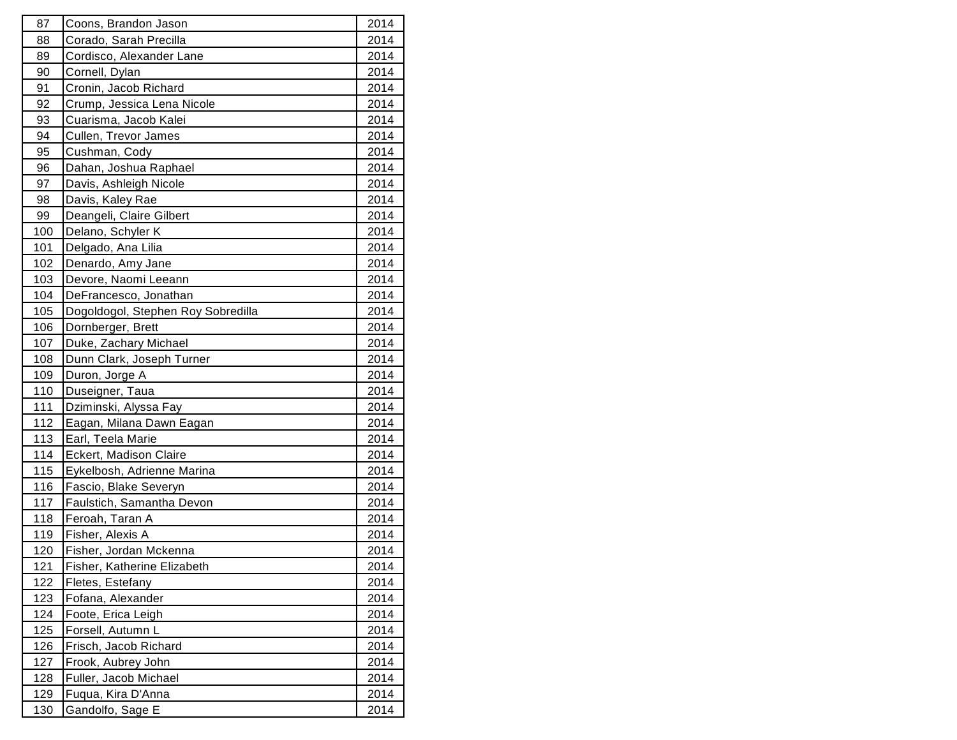| 87         | Coons, Brandon Jason               | 2014 |
|------------|------------------------------------|------|
| 88         | Corado, Sarah Precilla             | 2014 |
| 89         | Cordisco, Alexander Lane           | 2014 |
| 90         | Cornell, Dylan                     | 2014 |
| 91         | Cronin, Jacob Richard              | 2014 |
| 92         | Crump, Jessica Lena Nicole         | 2014 |
| 93         | Cuarisma, Jacob Kalei              | 2014 |
| 94         | Cullen, Trevor James               | 2014 |
| 95         | Cushman, Cody                      | 2014 |
| 96         | Dahan, Joshua Raphael              | 2014 |
| 97         | Davis, Ashleigh Nicole             | 2014 |
| 98         | Davis, Kaley Rae                   | 2014 |
| 99         | Deangeli, Claire Gilbert           | 2014 |
| 100        | Delano, Schyler K                  | 2014 |
| 101        | Delgado, Ana Lilia                 | 2014 |
| 102        | Denardo, Amy Jane                  | 2014 |
| 103        | Devore, Naomi Leeann               | 2014 |
| 104        | DeFrancesco, Jonathan              | 2014 |
| 105        | Dogoldogol, Stephen Roy Sobredilla | 2014 |
| 106        | Dornberger, Brett                  | 2014 |
| 107        | Duke, Zachary Michael              | 2014 |
| 108        | Dunn Clark, Joseph Turner          | 2014 |
| 109        | Duron, Jorge A                     | 2014 |
| 110        | Duseigner, Taua                    | 2014 |
| 111        | Dziminski, Alyssa Fay              | 2014 |
| 112        | Eagan, Milana Dawn Eagan           | 2014 |
| 113        | Earl, Teela Marie                  | 2014 |
| 114        | Eckert, Madison Claire             | 2014 |
| 115        | Eykelbosh, Adrienne Marina         | 2014 |
| 116        | Fascio, Blake Severyn              | 2014 |
| 117        | Faulstich, Samantha Devon          | 2014 |
| 118        | Feroah, Taran A                    | 2014 |
| 119        | Fisher, Alexis A                   | 2014 |
| 120        | Fisher, Jordan Mckenna             | 2014 |
| 121        | Fisher, Katherine Elizabeth        | 2014 |
| 122        | Fletes, Estefany                   | 2014 |
| 123        | Fofana, Alexander                  | 2014 |
| 124        | Foote, Erica Leigh                 | 2014 |
| <u>125</u> |                                    |      |
|            | Forsell, Autumn L                  | 2014 |
| 126        | Frisch, Jacob Richard              | 2014 |
| 127        | Frook, Aubrey John                 | 2014 |
| 128        | Fuller, Jacob Michael              | 2014 |
| <u>129</u> | Fuqua, Kira D'Anna                 | 2014 |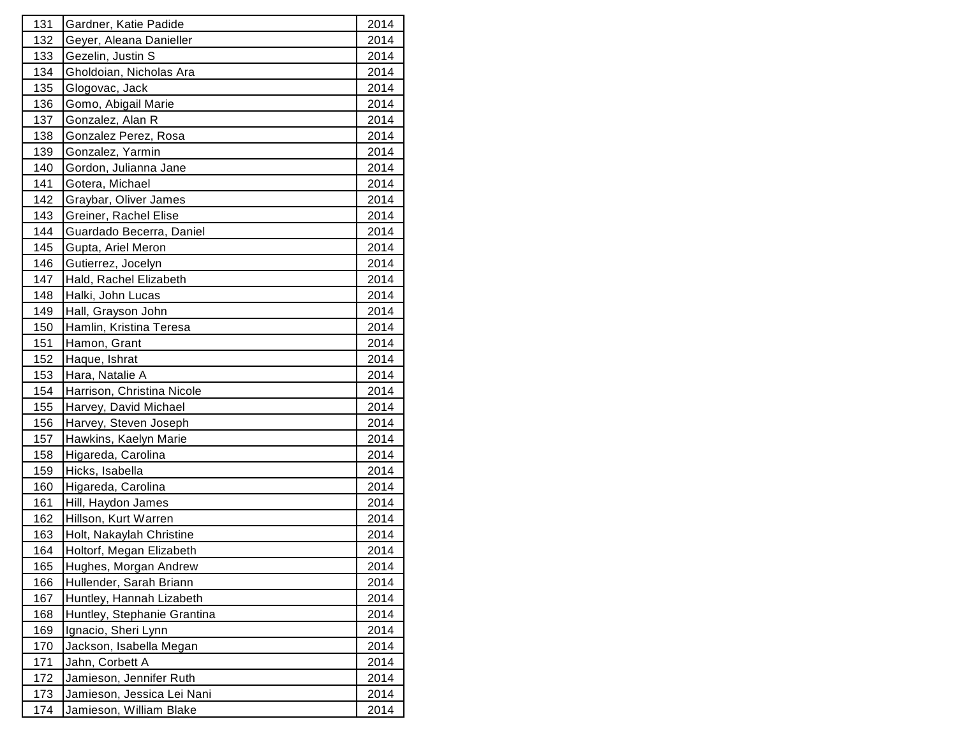| 131        | Gardner, Katie Padide       | 2014 |
|------------|-----------------------------|------|
| 132        | Geyer, Aleana Danieller     | 2014 |
| 133        | Gezelin, Justin S           | 2014 |
| 134        | Gholdoian, Nicholas Ara     | 2014 |
| 135        | Glogovac, Jack              | 2014 |
| 136        | Gomo, Abigail Marie         | 2014 |
| 137        | Gonzalez, Alan R            | 2014 |
| 138        | Gonzalez Perez, Rosa        | 2014 |
| 139        | Gonzalez, Yarmin            | 2014 |
| 140        | Gordon, Julianna Jane       | 2014 |
| 141        | Gotera, Michael             | 2014 |
| 142        | Graybar, Oliver James       | 2014 |
| 143        | Greiner, Rachel Elise       | 2014 |
| 144        | Guardado Becerra, Daniel    | 2014 |
| 145        | Gupta, Ariel Meron          | 2014 |
| 146        | Gutierrez, Jocelyn          | 2014 |
| 147        | Hald, Rachel Elizabeth      | 2014 |
| 148        | Halki, John Lucas           | 2014 |
| 149        | Hall, Grayson John          | 2014 |
| 150        | Hamlin, Kristina Teresa     | 2014 |
| 151        | Hamon, Grant                | 2014 |
| 152        | Haque, Ishrat               | 2014 |
| 153        | Hara, Natalie A             | 2014 |
| 154        | Harrison, Christina Nicole  | 2014 |
| 155        | Harvey, David Michael       | 2014 |
| 156        | Harvey, Steven Joseph       | 2014 |
| 157        | Hawkins, Kaelyn Marie       | 2014 |
| 158        | Higareda, Carolina          | 2014 |
| 159        | Hicks, Isabella             | 2014 |
| 160        | Higareda, Carolina          | 2014 |
| 161        | Hill, Haydon James          | 2014 |
| 162        | Hillson, Kurt Warren        | 2014 |
| 163        | Holt, Nakaylah Christine    | 2014 |
| 164        | Holtorf, Megan Elizabeth    | 2014 |
| 165        | Hughes, Morgan Andrew       | 2014 |
| 166        | Hullender, Sarah Briann     | 2014 |
| 167        | Huntley, Hannah Lizabeth    | 2014 |
| 168        | Huntley, Stephanie Grantina | 2014 |
| <u>169</u> | Ignacio, Sheri Lynn         | 2014 |
| 170        | Jackson, Isabella Megan     | 2014 |
| 171        | Jahn, Corbett A             | 2014 |
| 172        | Jamieson, Jennifer Ruth     | 2014 |
| 173        | Jamieson, Jessica Lei Nani  | 2014 |
| 174        | Jamieson, William Blake     | 2014 |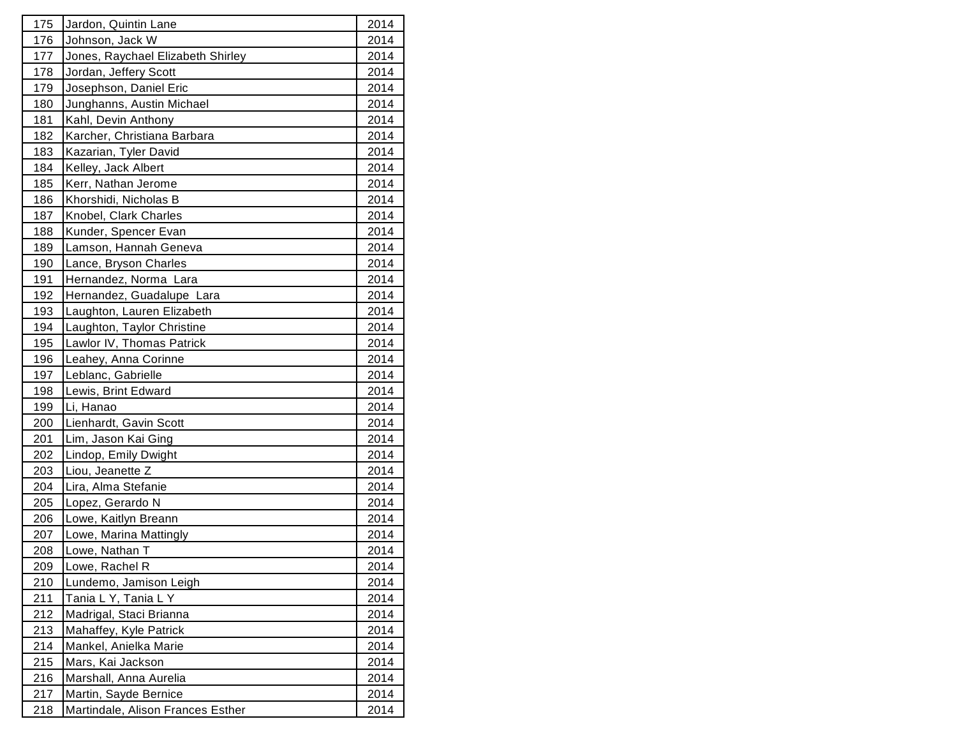| 175        | Jardon, Quintin Lane              | 2014 |
|------------|-----------------------------------|------|
| 176        | Johnson, Jack W                   | 2014 |
| 177        | Jones, Raychael Elizabeth Shirley | 2014 |
| 178        | Jordan, Jeffery Scott             | 2014 |
| 179        | Josephson, Daniel Eric            | 2014 |
| 180        | Junghanns, Austin Michael         | 2014 |
| 181        | Kahl, Devin Anthony               | 2014 |
| 182        | Karcher, Christiana Barbara       | 2014 |
| 183        | Kazarian, Tyler David             | 2014 |
| 184        | Kelley, Jack Albert               | 2014 |
| 185        | Kerr, Nathan Jerome               | 2014 |
| 186        | Khorshidi, Nicholas B             | 2014 |
| 187        | Knobel, Clark Charles             | 2014 |
| 188        | Kunder, Spencer Evan              | 2014 |
| 189        | Lamson, Hannah Geneva             | 2014 |
| 190        | Lance, Bryson Charles             | 2014 |
| 191        | Hernandez, Norma Lara             | 2014 |
| 192        | Hernandez, Guadalupe Lara         | 2014 |
| 193        | Laughton, Lauren Elizabeth        | 2014 |
| 194        | Laughton, Taylor Christine        | 2014 |
| 195        | Lawlor IV, Thomas Patrick         | 2014 |
| 196        | Leahey, Anna Corinne              | 2014 |
| 197        | Leblanc, Gabrielle                | 2014 |
| 198        | Lewis, Brint Edward               | 2014 |
| 199        | Li, Hanao                         | 2014 |
| 200        | Lienhardt, Gavin Scott            | 2014 |
| 201        | Lim, Jason Kai Ging               | 2014 |
| 202        | Lindop, Emily Dwight              | 2014 |
| 203        | Liou, Jeanette Z                  | 2014 |
| 204        | Lira, Alma Stefanie               | 2014 |
| 205        | Lopez, Gerardo N                  | 2014 |
| 206        | Lowe, Kaitlyn Breann              | 2014 |
| 207        | Lowe, Marina Mattingly            | 2014 |
| 208        | Lowe, Nathan T                    | 2014 |
| 209        | Lowe, Rachel R                    | 2014 |
| 210        | Lundemo, Jamison Leigh            | 2014 |
| 211        | Tania L Y, Tania L Y              | 2014 |
| 212        | Madrigal, Staci Brianna           | 2014 |
| 213        | Mahaffey, Kyle Patrick            | 2014 |
| 214        | Mankel, Anielka Marie             | 2014 |
| 215        | Mars, Kai Jackson                 | 2014 |
| 216        | Marshall, Anna Aurelia            | 2014 |
| 217        | Martin, Sayde Bernice             | 2014 |
| <u>218</u> | Martindale, Alison Frances Esther | 2014 |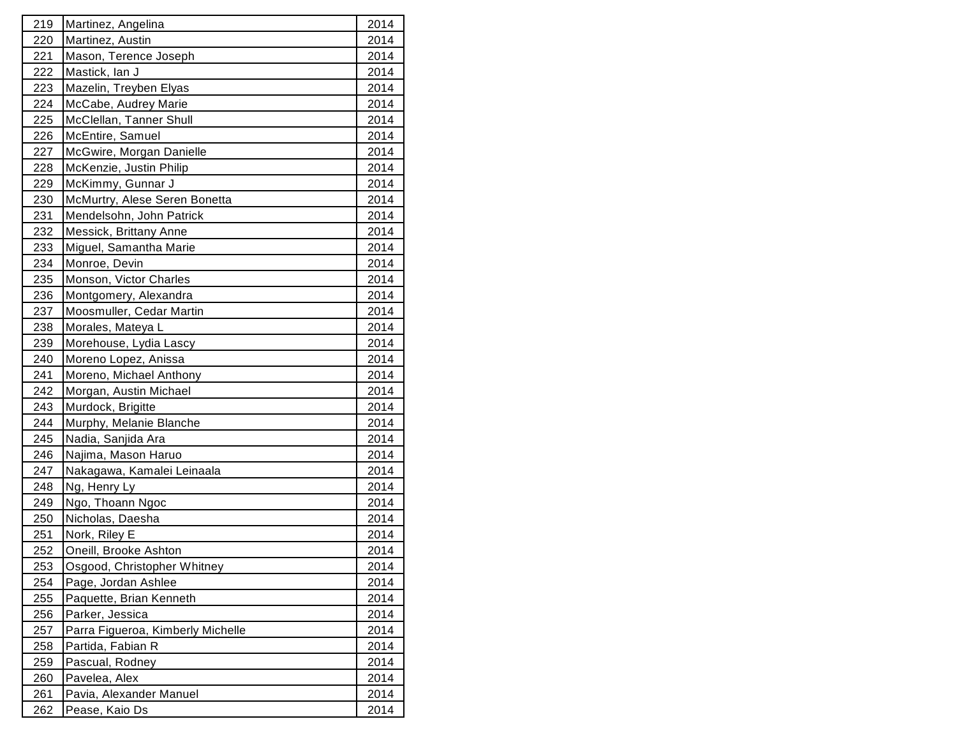| 219 | Martinez, Angelina                | 2014 |
|-----|-----------------------------------|------|
| 220 | Martinez, Austin                  | 2014 |
| 221 | Mason, Terence Joseph             | 2014 |
| 222 | Mastick, lan J                    | 2014 |
| 223 | Mazelin, Treyben Elyas            | 2014 |
| 224 | McCabe, Audrey Marie              | 2014 |
| 225 | McClellan, Tanner Shull           | 2014 |
| 226 | McEntire, Samuel                  | 2014 |
| 227 | McGwire, Morgan Danielle          | 2014 |
| 228 | McKenzie, Justin Philip           | 2014 |
| 229 | McKimmy, Gunnar J                 | 2014 |
| 230 | McMurtry, Alese Seren Bonetta     | 2014 |
| 231 | Mendelsohn, John Patrick          | 2014 |
| 232 | Messick, Brittany Anne            | 2014 |
| 233 | Miguel, Samantha Marie            | 2014 |
| 234 | Monroe, Devin                     | 2014 |
| 235 | Monson, Victor Charles            | 2014 |
| 236 | Montgomery, Alexandra             | 2014 |
| 237 | Moosmuller, Cedar Martin          | 2014 |
| 238 | Morales, Mateya L                 | 2014 |
| 239 | Morehouse, Lydia Lascy            | 2014 |
| 240 | Moreno Lopez, Anissa              | 2014 |
| 241 | Moreno, Michael Anthony           | 2014 |
| 242 | Morgan, Austin Michael            | 2014 |
| 243 | Murdock, Brigitte                 | 2014 |
| 244 | Murphy, Melanie Blanche           | 2014 |
| 245 | Nadia, Sanjida Ara                | 2014 |
| 246 | Najima, Mason Haruo               | 2014 |
| 247 | Nakagawa, Kamalei Leinaala        | 2014 |
| 248 | Ng, Henry Ly                      | 2014 |
| 249 | Ngo, Thoann Ngoc                  | 2014 |
| 250 | Nicholas, Daesha                  | 2014 |
| 251 | Nork, Riley E                     | 2014 |
| 252 | Oneill, Brooke Ashton             | 2014 |
| 253 | Osgood, Christopher Whitney       | 2014 |
| 254 | Page, Jordan Ashlee               | 2014 |
| 255 | Paquette, Brian Kenneth           | 2014 |
| 256 | Parker, Jessica                   | 2014 |
| 257 | Parra Figueroa, Kimberly Michelle | 2014 |
| 258 | Partida, Fabian R                 | 2014 |
| 259 | Pascual, Rodney                   | 2014 |
| 260 | Pavelea, Alex                     | 2014 |
| 261 | Pavia, Alexander Manuel           | 2014 |
| 262 | Pease, Kaio Ds                    | 2014 |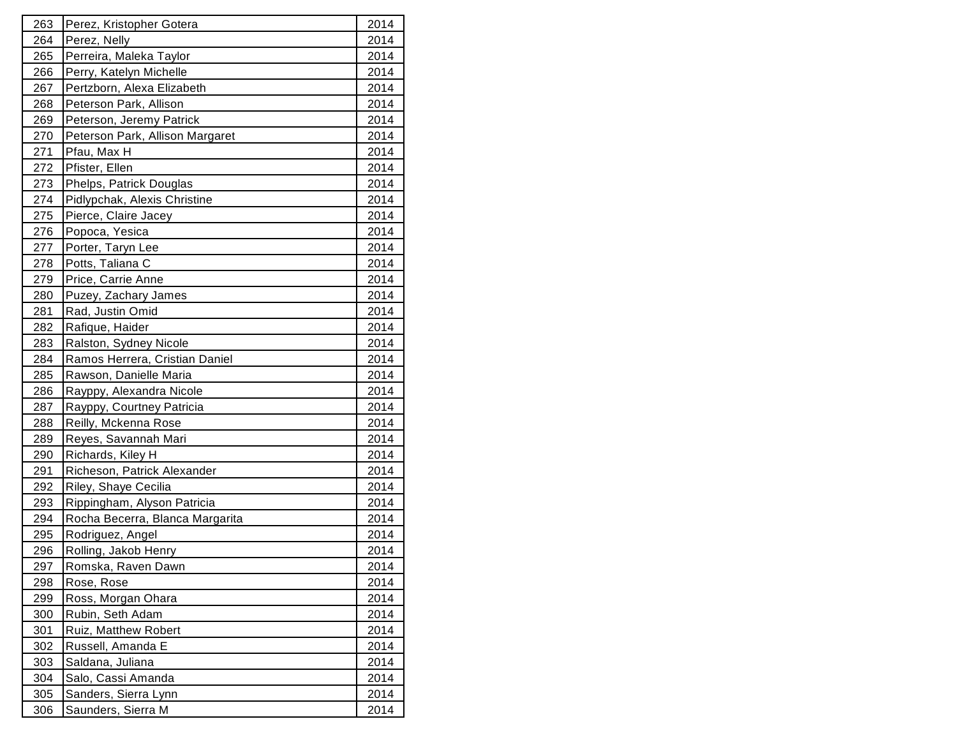| 263             | Perez, Kristopher Gotera        | 2014 |
|-----------------|---------------------------------|------|
| 264             | Perez, Nelly                    | 2014 |
| 265             | Perreira, Maleka Taylor         | 2014 |
| 266             | Perry, Katelyn Michelle         | 2014 |
| 267             | Pertzborn, Alexa Elizabeth      | 2014 |
| 268             | Peterson Park, Allison          | 2014 |
| 269             | Peterson, Jeremy Patrick        | 2014 |
| 270             | Peterson Park, Allison Margaret | 2014 |
| 271             | Pfau, Max H                     | 2014 |
| 272             | Pfister, Ellen                  | 2014 |
| 273             | Phelps, Patrick Douglas         | 2014 |
| 274             | Pidlypchak, Alexis Christine    | 2014 |
| 275             | Pierce, Claire Jacey            | 2014 |
| 276             | Popoca, Yesica                  | 2014 |
| 277             | Porter, Taryn Lee               | 2014 |
| 278             | Potts, Taliana C                | 2014 |
| 279             | Price, Carrie Anne              | 2014 |
| 280             | Puzey, Zachary James            | 2014 |
| 281             | Rad, Justin Omid                | 2014 |
| 282             | Rafique, Haider                 | 2014 |
| 283             | Ralston, Sydney Nicole          | 2014 |
| 284             | Ramos Herrera, Cristian Daniel  | 2014 |
| 285             | Rawson, Danielle Maria          | 2014 |
| 286             | Rayppy, Alexandra Nicole        | 2014 |
| 287             | Rayppy, Courtney Patricia       | 2014 |
| 288             | Reilly, Mckenna Rose            | 2014 |
| 289             | Reyes, Savannah Mari            | 2014 |
| 290             | Richards, Kiley H               | 2014 |
| 291             | Richeson, Patrick Alexander     | 2014 |
| 292             | Riley, Shaye Cecilia            | 2014 |
| 293             | Rippingham, Alyson Patricia     | 2014 |
| 294             | Rocha Becerra, Blanca Margarita | 2014 |
| 295             | Rodriguez, Angel                | 2014 |
| 296             | Rolling, Jakob Henry            | 2014 |
| 297             | Romska, Raven Dawn              | 2014 |
| 298             | Rose, Rose                      | 2014 |
| 299             | Ross, Morgan Ohara              | 2014 |
| 300             | Rubin, Seth Adam                | 2014 |
| 301             | Ruiz, Matthew Robert            | 2014 |
| 302             | Russell, Amanda E               | 2014 |
| 303             | Saldana, Juliana                | 2014 |
| 304             | Salo, Cassi Amanda              | 2014 |
| 305             | Sanders, Sierra Lynn            | 2014 |
| 30 <sub>6</sub> | Saunders, Sierra M              | 2014 |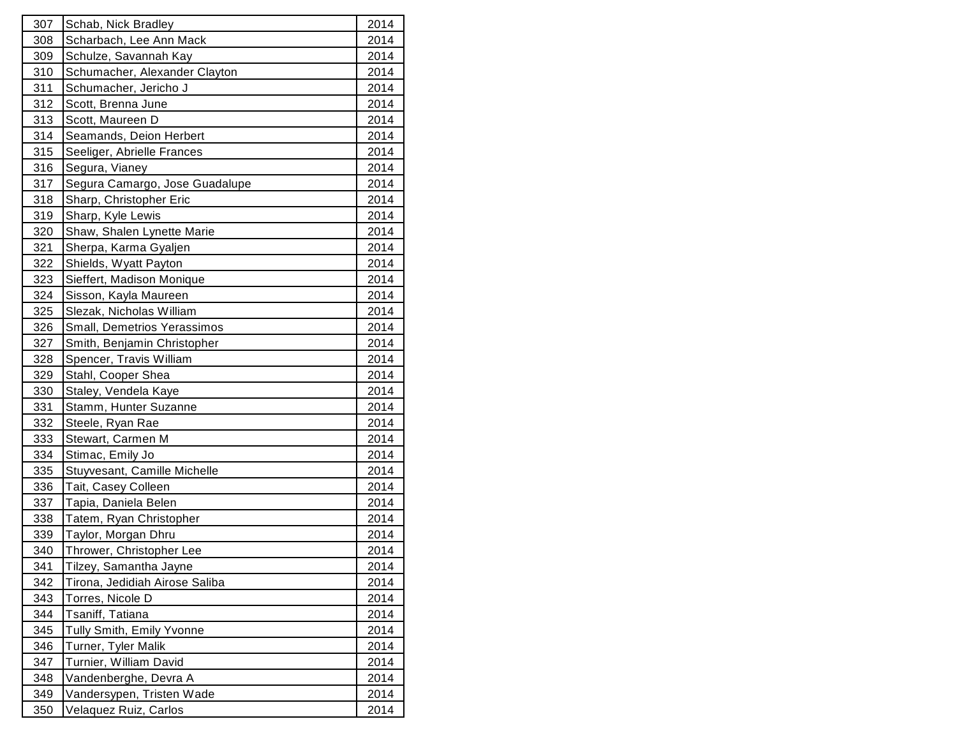| 307        | Schab, Nick Bradley            | 2014 |
|------------|--------------------------------|------|
| 308        | Scharbach, Lee Ann Mack        | 2014 |
| 309        | Schulze, Savannah Kay          | 2014 |
| 310        | Schumacher, Alexander Clayton  | 2014 |
| 311        | Schumacher, Jericho J          | 2014 |
| 312        | Scott, Brenna June             | 2014 |
| 313        | Scott, Maureen D               | 2014 |
| 314        | Seamands, Deion Herbert        | 2014 |
| 315        | Seeliger, Abrielle Frances     | 2014 |
| 316        | Segura, Vianey                 | 2014 |
| 317        | Segura Camargo, Jose Guadalupe | 2014 |
| 318        | Sharp, Christopher Eric        | 2014 |
| 319        | Sharp, Kyle Lewis              | 2014 |
| 320        | Shaw, Shalen Lynette Marie     | 2014 |
| 321        | Sherpa, Karma Gyaljen          | 2014 |
| 322        | Shields, Wyatt Payton          | 2014 |
| 323        | Sieffert, Madison Monique      | 2014 |
| <u>324</u> | Sisson, Kayla Maureen          | 2014 |
| 325        | Slezak, Nicholas William       | 2014 |
| 326        | Small, Demetrios Yerassimos    | 2014 |
| 327        | Smith, Benjamin Christopher    | 2014 |
| 328        | Spencer, Travis William        | 2014 |
| <u>329</u> | Stahl, Cooper Shea             | 2014 |
| 330        | Staley, Vendela Kaye           | 2014 |
| 331        | Stamm, Hunter Suzanne          | 2014 |
| 332        | Steele, Ryan Rae               | 2014 |
| 333        | Stewart, Carmen M              | 2014 |
| 334        | Stimac, Emily Jo               | 2014 |
| 335        | Stuyvesant, Camille Michelle   | 2014 |
| 336        | Tait, Casey Colleen            | 2014 |
| 337        | Tapia, Daniela Belen           | 2014 |
| 338        | Tatem, Ryan Christopher        | 2014 |
| 339        | Taylor, Morgan Dhru            | 2014 |
| 340        | Thrower, Christopher Lee       | 2014 |
| 341        | Tilzey, Samantha Jayne         | 2014 |
| 342        | Tirona, Jedidiah Airose Saliba | 2014 |
| 343        | Torres, Nicole D               | 2014 |
| <u>344</u> | Tsaniff, Tatiana               | 2014 |
| 345        | Tully Smith, Emily Yvonne      | 2014 |
| 346        | Turner, Tyler Malik            | 2014 |
| 347        | Turnier, William David         | 2014 |
| 348        | Vandenberghe, Devra A          | 2014 |
| <u>349</u> | Vandersypen, Tristen Wade      | 2014 |
| 350        | Velaquez Ruiz, Carlos          | 2014 |